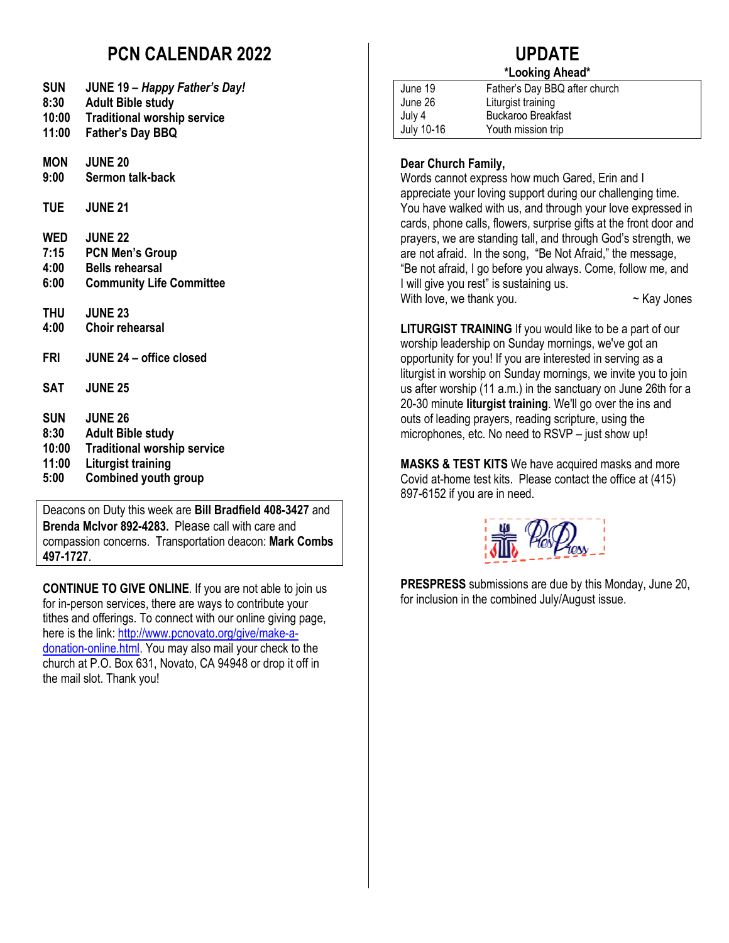### **PCN CALENDAR 2022**

| SUN |  | <b>JUNE 19 - Happy Father's Day!</b> |
|-----|--|--------------------------------------|
|-----|--|--------------------------------------|

- **8:30 Adult Bible study**
- **10:00 Traditional worship service**
- **11:00 Father's Day BBQ**

**MON JUNE 20**

- **Sermon talk-back**
- **TUE JUNE 21**

|  | WED | <b>JUNE 22</b> |
|--|-----|----------------|
|--|-----|----------------|

- **7:15 PCN Men's Group**
- **4:00 Bells rehearsal**
- **6:00 Community Life Committee**
- **THU JUNE 23**
- **4:00 Choir rehearsal**
- **FRI JUNE 24 office closed**
- **SAT JUNE 25**
- **SUN JUNE 26**
- **Adult Bible study**
- **10:00 Traditional worship service**
- **11:00 Liturgist training**
- **5:00 Combined youth group**

Deacons on Duty this week are **Bill Bradfield 408-3427** and **Brenda McIvor 892-4283.** Please call with care and compassion concerns. Transportation deacon: **Mark Combs 497-1727**.

**CONTINUE TO GIVE ONLINE**. If you are not able to join us for in-person services, there are ways to contribute your tithes and offerings. To connect with our online giving page, here is the link: http://www.pcnovato.org/give/make-adonation-online.html. You may also mail your check to the church at P.O. Box 631, Novato, CA 94948 or drop it off in the mail slot. Thank you!

# **UPDATE**

### **\*Looking Ahead\***

| June 19    | Father's Day BBQ after church |
|------------|-------------------------------|
| June 26    | Liturgist training            |
| July 4     | <b>Buckaroo Breakfast</b>     |
| July 10-16 | Youth mission trip            |

#### **Dear Church Family,**

Words cannot express how much Gared, Erin and I appreciate your loving support during our challenging time. You have walked with us, and through your love expressed in cards, phone calls, flowers, surprise gifts at the front door and prayers, we are standing tall, and through God's strength, we are not afraid. In the song, "Be Not Afraid," the message, "Be not afraid, I go before you always. Come, follow me, and I will give you rest" is sustaining us. With love, we thank you.  $\sim$  Kay Jones

**LITURGIST TRAINING** If you would like to be a part of our worship leadership on Sunday mornings, we've got an opportunity for you! If you are interested in serving as a liturgist in worship on Sunday mornings, we invite you to join us after worship (11 a.m.) in the sanctuary on June 26th for a 20-30 minute **liturgist training**. We'll go over the ins and outs of leading prayers, reading scripture, using the microphones, etc. No need to RSVP – just show up!

**MASKS & TEST KITS** We have acquired masks and more Covid at-home test kits. Please contact the office at (415) 897-6152 if you are in need.



**PRESPRESS** submissions are due by this Monday, June 20, for inclusion in the combined July/August issue.